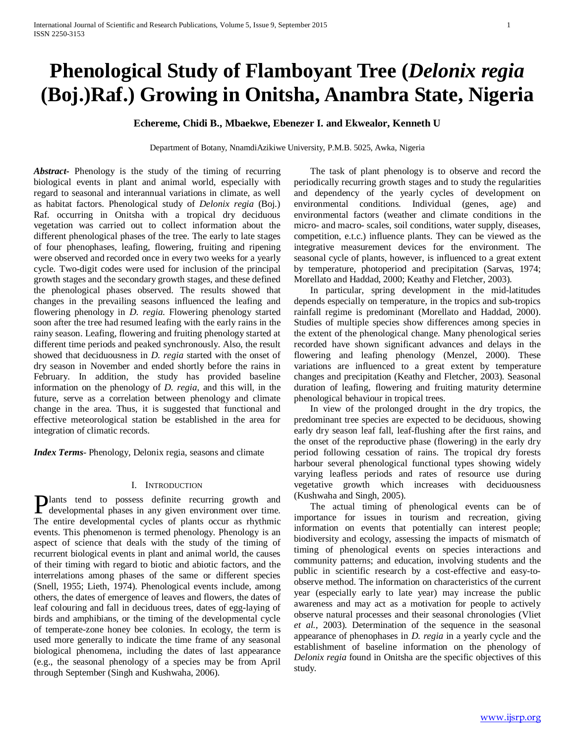# **Phenological Study of Flamboyant Tree (***Delonix regia*  **(Boj.)Raf.) Growing in Onitsha, Anambra State, Nigeria**

**Echereme, Chidi B., Mbaekwe, Ebenezer I. and Ekwealor, Kenneth U**

Department of Botany, NnamdiAzikiwe University, P.M.B. 5025, Awka, Nigeria

*Abstract***-** Phenology is the study of the timing of recurring biological events in plant and animal world, especially with regard to seasonal and interannual variations in climate, as well as habitat factors. Phenological study of *Delonix regia* (Boj.) Raf. occurring in Onitsha with a tropical dry deciduous vegetation was carried out to collect information about the different phenological phases of the tree. The early to late stages of four phenophases, leafing, flowering, fruiting and ripening were observed and recorded once in every two weeks for a yearly cycle. Two-digit codes were used for inclusion of the principal growth stages and the secondary growth stages, and these defined the phenological phases observed. The results showed that changes in the prevailing seasons influenced the leafing and flowering phenology in *D. regia*. Flowering phenology started soon after the tree had resumed leafing with the early rains in the rainy season. Leafing, flowering and fruiting phenology started at different time periods and peaked synchronously. Also, the result showed that deciduousness in *D. regia* started with the onset of dry season in November and ended shortly before the rains in February. In addition, the study has provided baseline information on the phenology of *D. regia*, and this will, in the future, serve as a correlation between phenology and climate change in the area. Thus, it is suggested that functional and effective meteorological station be established in the area for integration of climatic records.

*Index Terms*- Phenology, Delonix regia, seasons and climate

# I. INTRODUCTION

lants tend to possess definite recurring growth and **Plants** tend to possess definite recurring growth and developmental phases in any given environment over time. The entire developmental cycles of plants occur as rhythmic events. This phenomenon is termed phenology. Phenology is an aspect of science that deals with the study of the timing of recurrent biological events in plant and animal world, the causes of their timing with regard to biotic and abiotic factors, and the interrelations among phases of the same or different species (Snell, 1955; Lieth, 1974). Phenological events include, among others, the dates of emergence of leaves and flowers, the dates of leaf colouring and fall in deciduous trees, dates of egg-laying of birds and amphibians, or the timing of the developmental cycle of temperate-zone honey bee colonies. In ecology, the term is used more generally to indicate the time frame of any seasonal biological phenomena, including the dates of last appearance (e.g., the seasonal phenology of a species may be from April through September (Singh and Kushwaha, 2006).

 The task of plant phenology is to observe and record the periodically recurring growth stages and to study the regularities and dependency of the yearly cycles of development on environmental conditions. Individual (genes, age) and environmental factors (weather and climate conditions in the micro- and macro- scales, soil conditions, water supply, diseases, competition, e.t.c.) influence plants. They can be viewed as the integrative measurement devices for the environment. The seasonal cycle of plants, however, is influenced to a great extent by temperature, photoperiod and precipitation (Sarvas, 1974; Morellato and Haddad, 2000; Keathy and Fletcher, 2003).

 In particular, spring development in the mid-latitudes depends especially on temperature, in the tropics and sub-tropics rainfall regime is predominant (Morellato and Haddad, 2000). Studies of multiple species show differences among species in the extent of the phenological change. Many phenological series recorded have shown significant advances and delays in the flowering and leafing phenology (Menzel, 2000). These variations are influenced to a great extent by temperature changes and precipitation (Keathy and Fletcher, 2003). Seasonal duration of leafing, flowering and fruiting maturity determine phenological behaviour in tropical trees.

 In view of the prolonged drought in the dry tropics, the predominant tree species are expected to be deciduous, showing early dry season leaf fall, leaf-flushing after the first rains, and the onset of the reproductive phase (flowering) in the early dry period following cessation of rains. The tropical dry forests harbour several phenological functional types showing widely varying leafless periods and rates of resource use during vegetative growth which increases with deciduousness (Kushwaha and Singh, 2005).

 The actual timing of phenological events can be of importance for issues in tourism and recreation, giving information on events that potentially can interest people; biodiversity and ecology, assessing the impacts of mismatch of timing of phenological events on species interactions and community patterns; and education, involving students and the public in scientific research by a cost-effective and easy-toobserve method. The information on characteristics of the current year (especially early to late year) may increase the public awareness and may act as a motivation for people to actively observe natural processes and their seasonal chronologies (Vliet *et al.,* 2003). Determination of the sequence in the seasonal appearance of phenophases in *D. regia* in a yearly cycle and the establishment of baseline information on the phenology of *Delonix regia* found in Onitsha are the specific objectives of this study.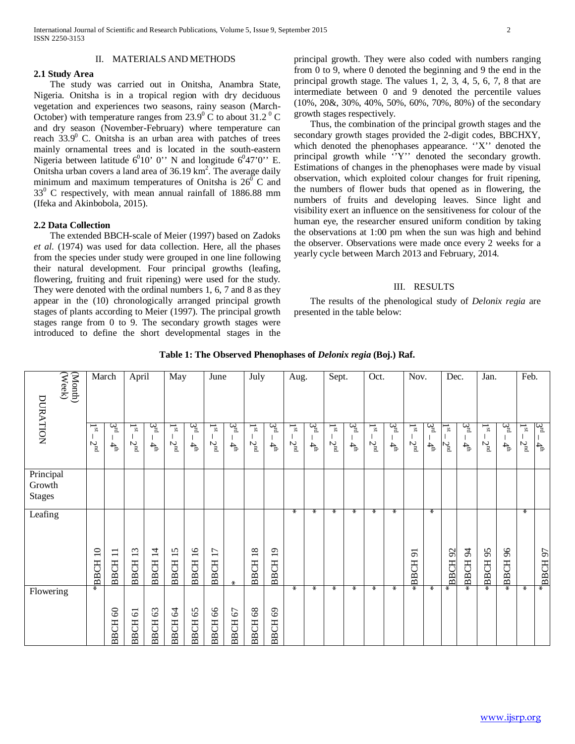# II. MATERIALS AND METHODS

## **2.1 Study Area**

 The study was carried out in Onitsha, Anambra State, Nigeria. Onitsha is in a tropical region with dry deciduous vegetation and experiences two seasons, rainy season (March-October) with temperature ranges from  $23.9^{\circ}$  C to about  $31.2^{\circ}$  C and dry season (November-February) where temperature can reach  $33.9^{\circ}$  C. Onitsha is an urban area with patches of trees mainly ornamental trees and is located in the south-eastern Nigeria between latitude  $6^010^{\circ}$  0'' N and longitude  $6^047'0''$  E. Onitsha urban covers a land area of  $36.19 \text{ km}^2$ . The average daily minimum and maximum temperatures of Onitsha is  $26^{\circ}$  C and  $33^{\circ}$  C respectively, with mean annual rainfall of 1886.88 mm (Ifeka and Akinbobola, 2015).

#### **2.2 Data Collection**

 The extended BBCH-scale of Meier (1997) based on Zadoks *et al*. (1974) was used for data collection. Here, all the phases from the species under study were grouped in one line following their natural development. Four principal growths (leafing, flowering, fruiting and fruit ripening) were used for the study. They were denoted with the ordinal numbers 1, 6, 7 and 8 as they appear in the (10) chronologically arranged principal growth stages of plants according to Meier (1997). The principal growth stages range from 0 to 9. The secondary growth stages were introduced to define the short developmental stages in the principal growth. They were also coded with numbers ranging from 0 to 9, where 0 denoted the beginning and 9 the end in the principal growth stage. The values 1, 2, 3, 4, 5, 6, 7, 8 that are intermediate between 0 and 9 denoted the percentile values (10%, 20&, 30%, 40%, 50%, 60%, 70%, 80%) of the secondary growth stages respectively.

 Thus, the combination of the principal growth stages and the secondary growth stages provided the 2-digit codes, BBCHXY, which denoted the phenophases appearance. "X" denoted the principal growth while ''Y'' denoted the secondary growth. Estimations of changes in the phenophases were made by visual observation, which exploited colour changes for fruit ripening, the numbers of flower buds that opened as in flowering, the numbers of fruits and developing leaves. Since light and visibility exert an influence on the sensitiveness for colour of the human eye, the researcher ensured uniform condition by taking the observations at 1:00 pm when the sun was high and behind the observer. Observations were made once every 2 weeks for a yearly cycle between March 2013 and February, 2014.

## III. RESULTS

 The results of the phenological study of *Delonix regia* are presented in the table below:

| DURATION                             | $\begin{array}{c} \textbf{(Nonth)} \\ \textbf{(Weak)} \end{array}$ | March                        |                                                                     | April                                               |                                               | May                                          |                                                | June                             |                      | July                         |                               | Aug.                                       |                      | Sept.                          |                                           | Oct.                         |                                              | Nov.                                                 |                     | Dec.                           |                              | Jan.                           |                       | Feb.                                          |                      |
|--------------------------------------|--------------------------------------------------------------------|------------------------------|---------------------------------------------------------------------|-----------------------------------------------------|-----------------------------------------------|----------------------------------------------|------------------------------------------------|----------------------------------|----------------------|------------------------------|-------------------------------|--------------------------------------------|----------------------|--------------------------------|-------------------------------------------|------------------------------|----------------------------------------------|------------------------------------------------------|---------------------|--------------------------------|------------------------------|--------------------------------|-----------------------|-----------------------------------------------|----------------------|
|                                      |                                                                    | $\mathbf{g}$<br>$2^{\rm nd}$ | ದ್ದ<br>$\frac{4}{7}$                                                | $\mathbf{S}$<br>$2^{\rm nd}$                        | $\mathcal{B}^{\mathbf{q}}$<br>$4\overline{4}$ | $\mathbf{I}^{\mathrm{st}}$<br>$2^{\rm nd}$   | $\mathfrak{F}^{\mathbb{Z}}$<br>$4\overline{4}$ | $\frac{1}{3}$<br>2 <sub>nd</sub> | ದ್ದ<br>$\frac{4}{4}$ | $\mathbf{S}$<br>$2^{\rm nd}$ | 3¤<br>$4\overline{4}$         | $\mathbf{g}$<br>$\mathbf{2}^{\mathrm{nd}}$ | ದ್ದ<br>$\frac{4}{9}$ | $\overline{F}$<br>$2^{\rm nd}$ | $\mathcal{S}^{\mathrm{rg}}$<br>$\ddot{4}$ | $\mathbf{g}$<br>$2^{\rm nd}$ | $\mathfrak{B}^{\mathbf{q}}$<br>$\frac{4}{6}$ | ⊸<br>$\mathbf{g}$<br>$2^{\rm nd}$                    | 3¤<br>$\frac{4}{4}$ | $\overline{a}$<br>$2^{\rm nd}$ | ್ಷ<br>$\frac{4}{4}$          | $\overline{a}$<br>$2^{\rm nd}$ | ्रद्<br>$\frac{4}{9}$ | $\mathbf{I}^{\mathrm{st}}$<br>2 <sub>nd</sub> | ದ್ದ<br>$\frac{4}{4}$ |
| Principal<br>Growth<br><b>Stages</b> |                                                                    |                              |                                                                     |                                                     |                                               |                                              |                                                |                                  |                      |                              |                               |                                            |                      |                                |                                           |                              |                                              |                                                      |                     |                                |                              |                                |                       |                                               |                      |
| Leafing                              |                                                                    | BBCH <sub>10</sub>           | $\overline{\phantom{0}}$<br>$\overline{\phantom{0}}$<br><b>BBCH</b> | $\omega$<br>$\overline{\phantom{0}}$<br><b>BBCH</b> | $\overline{1}$<br><b>BBCH</b>                 | S<br>$\overline{\phantom{0}}$<br><b>BBCH</b> | $\overline{16}$<br><b>BBCH</b>                 | $\overline{17}$<br><b>BBCH</b>   | ⋇                    | 18<br><b>BBCH</b>            | $\overline{1}$<br><b>BBCH</b> | ∗                                          | ∗                    | ∗                              | ∗                                         | $\ast$                       | ∗                                            | $\overline{\phantom{0}}$<br>$\sigma$<br><b>ABBCH</b> | ∗                   | 92<br><b>BBCH</b>              | $\frac{4}{3}$<br><b>BBCH</b> | 95<br><b>EDBCH</b>             | 96<br><b>FO</b><br>BĂ | ₩                                             | 57<br>*ввсн          |
| Flowering                            |                                                                    |                              | 60<br><b>BBCH</b>                                                   | $\overline{6}$<br><b>BBCH</b>                       | 63<br><b>BBCH</b>                             | 64<br><b>BBCH</b>                            | 65<br><b>BBCH</b>                              | 66<br><b>BBCH</b>                | 67<br><b>BBCH</b>    | $68\,$<br><b>BBCH</b>        | 69<br><b>BBCH</b>             | $\ast$                                     | $\ast$               | ∗                              | $\ast$                                    | $\ast$                       | $\ast$                                       |                                                      | $\ast$              | ∗                              |                              |                                | $\overline{\ast}$     | $\ast$                                        |                      |

**Table 1: The Observed Phenophases of** *Delonix regia* **(Boj.) Raf.**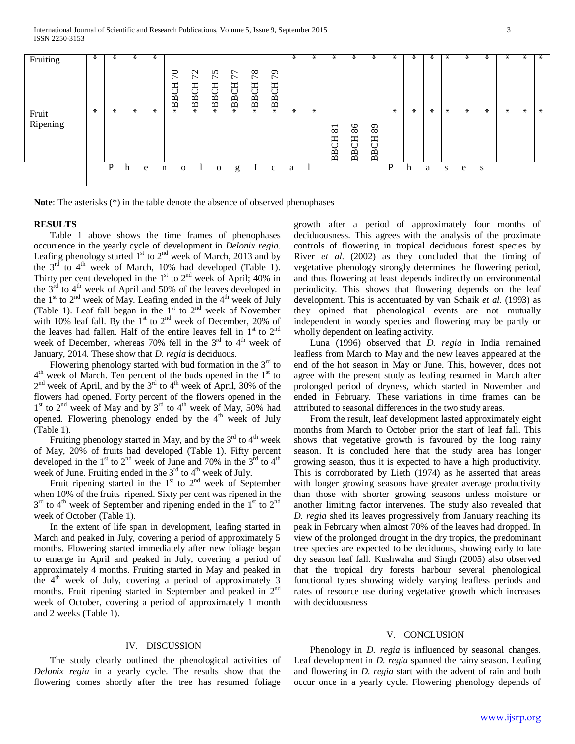| Fruiting          | $\ast$ | $\ast$ | $\ast$ | $\ast$ |                                |                   |                                 |                                                                                                   |                             |                                   | $\ast$ | $\ast$ | $\ast$                  | $\ast$            | ∗                         | $\ast$ | ∗ | ∗      | ⋇      | ⋇ | $\ast$ | $\star$ | $\ast$ | ⋇      |
|-------------------|--------|--------|--------|--------|--------------------------------|-------------------|---------------------------------|---------------------------------------------------------------------------------------------------|-----------------------------|-----------------------------------|--------|--------|-------------------------|-------------------|---------------------------|--------|---|--------|--------|---|--------|---------|--------|--------|
|                   |        |        |        |        | 0<br>$\overline{r}$<br>E<br>BB | 72<br><b>BBCH</b> | S<br>$\overline{ }$<br>FO<br>BB | $\overline{ }$<br>$\overline{ }$<br>エ<br>$\mathbf{r} \times$<br>◡<br>$\mathbf{p}$<br>$\mathbf{a}$ | 78<br>FO<br>$\overline{BB}$ | $\sigma$<br>$\bar{ }$<br>FO<br>BB |        |        |                         |                   |                           |        |   |        |        |   |        |         |        |        |
| Fruit<br>Ripening | ∗      | $\ast$ | $\ast$ | $\ast$ | ∗                              | $\ast$            | $\ast$                          | $\ast$                                                                                            | $\ast$                      | $\ast$                            | $\ast$ | $\ast$ | $\bf 81$<br><b>BBCH</b> | 86<br><b>BBCH</b> | 89<br>F<br>$\overline{B}$ | ⋇      | ∗ | $\ast$ | $\ast$ | ∗ | $\ast$ | ⋇       | $\ast$ | $\ast$ |
|                   |        | P      | h      | e      | n<br>$\mathbf{O}$              |                   | $\mathbf{o}$                    | g                                                                                                 | $\mathbf{I}$                | $\mathbf{c}$                      | a      | 1      |                         |                   |                           | P      | h | a      | S      | e | S      |         |        |        |

**Note**: The asterisks (\*) in the table denote the absence of observed phenophases

#### **RESULTS**

 Table 1 above shows the time frames of phenophases occurrence in the yearly cycle of development in *Delonix regia*. Leafing phenology started  $1<sup>st</sup>$  to  $2<sup>nd</sup>$  week of March, 2013 and by the  $3<sup>rd</sup>$  to  $4<sup>th</sup>$  week of March, 10% had developed (Table 1). Thirty per cent developed in the  $1<sup>st</sup>$  to  $2<sup>nd</sup>$  week of April; 40% in the  $3<sup>rd</sup>$  to  $4<sup>th</sup>$  week of April and 50% of the leaves developed in the  $1<sup>st</sup>$  to  $2<sup>nd</sup>$  week of May. Leafing ended in the  $4<sup>th</sup>$  week of July (Table 1). Leaf fall began in the  $1<sup>st</sup>$  to  $2<sup>nd</sup>$  week of November with 10% leaf fall. By the 1<sup>st</sup> to  $2<sup>nd</sup>$  week of December, 20% of the leaves had fallen. Half of the entire leaves fell in  $1<sup>st</sup>$  to  $2<sup>nd</sup>$ week of December, whereas 70% fell in the  $3<sup>rd</sup>$  to  $4<sup>th</sup>$  week of January, 2014. These show that *D*. *regia* is deciduous.

Flowering phenology started with bud formation in the  $3<sup>rd</sup>$  to  $4<sup>th</sup>$  week of March. Ten percent of the buds opened in the  $1<sup>st</sup>$  to  $2<sup>nd</sup>$  week of April, and by the  $3<sup>rd</sup>$  to  $4<sup>th</sup>$  week of April, 30% of the flowers had opened. Forty percent of the flowers opened in the 1<sup>st</sup> to 2<sup>nd</sup> week of May and by 3<sup>rd</sup> to 4<sup>th</sup> week of May, 50% had opened. Flowering phenology ended by the  $4<sup>th</sup>$  week of July (Table 1).

Fruiting phenology started in May, and by the  $3<sup>rd</sup>$  to  $4<sup>th</sup>$  week of May, 20% of fruits had developed (Table 1). Fifty percent developed in the 1st to  $2<sup>nd</sup>$  week of June and 70% in the  $3<sup>rd</sup>$  to  $4<sup>th</sup>$ week of June. Fruiting ended in the  $3<sup>rd</sup>$  to  $4<sup>th</sup>$  week of July.

Fruit ripening started in the  $1<sup>st</sup>$  to  $2<sup>nd</sup>$  week of September when 10% of the fruits ripened. Sixty per cent was ripened in the  $3<sup>rd</sup>$  to 4<sup>th</sup> week of September and ripening ended in the 1<sup>st</sup> to 2<sup>nd</sup> week of October (Table 1).

 In the extent of life span in development, leafing started in March and peaked in July, covering a period of approximately 5 months. Flowering started immediately after new foliage began to emerge in April and peaked in July, covering a period of approximately 4 months. Fruiting started in May and peaked in the  $4<sup>th</sup>$  week of July, covering a period of approximately 3 months. Fruit ripening started in September and peaked in 2<sup>nd</sup> week of October, covering a period of approximately 1 month and 2 weeks (Table 1).

#### IV. DISCUSSION

 The study clearly outlined the phenological activities of *Delonix regia* in a yearly cycle. The results show that the flowering comes shortly after the tree has resumed foliage

growth after a period of approximately four months of deciduousness. This agrees with the analysis of the proximate controls of flowering in tropical deciduous forest species by River *et al*. (2002) as they concluded that the timing of vegetative phenology strongly determines the flowering period, and thus flowering at least depends indirectly on environmental periodicity. This shows that flowering depends on the leaf development. This is accentuated by van Schaik *et al*. (1993) as they opined that phenological events are not mutually independent in woody species and flowering may be partly or wholly dependent on leafing activity.

 Luna (1996) observed that *D. regia* in India remained leafless from March to May and the new leaves appeared at the end of the hot season in May or June. This, however, does not agree with the present study as leafing resumed in March after prolonged period of dryness, which started in November and ended in February. These variations in time frames can be attributed to seasonal differences in the two study areas.

 From the result, leaf development lasted approximately eight months from March to October prior the start of leaf fall. This shows that vegetative growth is favoured by the long rainy season. It is concluded here that the study area has longer growing season, thus it is expected to have a high productivity. This is corroborated by Lieth (1974) as he asserted that areas with longer growing seasons have greater average productivity than those with shorter growing seasons unless moisture or another limiting factor intervenes. The study also revealed that *D. regia* shed its leaves progressively from January reaching its peak in February when almost 70% of the leaves had dropped. In view of the prolonged drought in the dry tropics, the predominant tree species are expected to be deciduous, showing early to late dry season leaf fall. Kushwaha and Singh (2005) also observed that the tropical dry forests harbour several phenological functional types showing widely varying leafless periods and rates of resource use during vegetative growth which increases with deciduousness

#### V. CONCLUSION

Phenology in *D. regia* is influenced by seasonal changes. Leaf development in *D. regia* spanned the rainy season. Leafing and flowering in *D. regia* start with the advent of rain and both occur once in a yearly cycle. Flowering phenology depends of